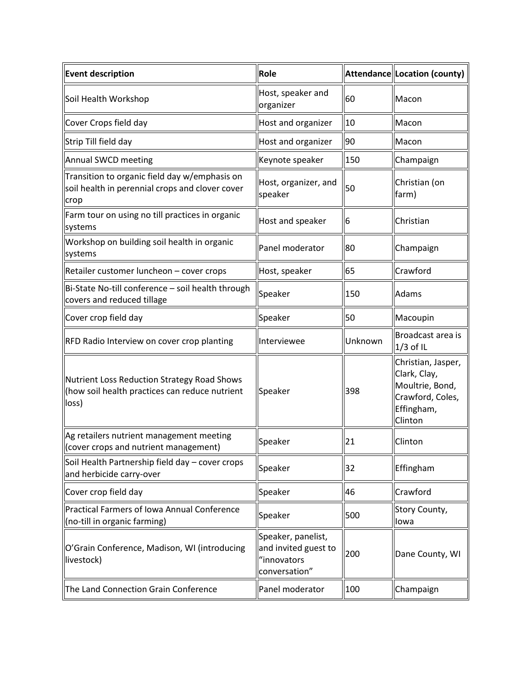| <b>Event description</b>                                                                                 | Role                                                                       |         | Attendance Location (county)                                                                       |
|----------------------------------------------------------------------------------------------------------|----------------------------------------------------------------------------|---------|----------------------------------------------------------------------------------------------------|
| Soil Health Workshop                                                                                     | Host, speaker and<br>organizer                                             | 60      | Macon                                                                                              |
| Cover Crops field day                                                                                    | Host and organizer                                                         | 10      | Macon                                                                                              |
| Strip Till field day                                                                                     | Host and organizer                                                         | 90      | Macon                                                                                              |
| Annual SWCD meeting                                                                                      | Keynote speaker                                                            | 150     | Champaign                                                                                          |
| Transition to organic field day w/emphasis on<br>soil health in perennial crops and clover cover<br>crop | Host, organizer, and<br>speaker                                            | 50      | Christian (on<br>farm)                                                                             |
| Farm tour on using no till practices in organic<br>systems                                               | Host and speaker                                                           | 6       | Christian                                                                                          |
| Workshop on building soil health in organic<br>systems                                                   | Panel moderator                                                            | 80      | Champaign                                                                                          |
| Retailer customer luncheon - cover crops                                                                 | Host, speaker                                                              | 65      | Crawford                                                                                           |
| Bi-State No-till conference - soil health through<br>covers and reduced tillage                          | Speaker                                                                    | 150     | <b>Adams</b>                                                                                       |
| Cover crop field day                                                                                     | Speaker                                                                    | 50      | Macoupin                                                                                           |
| RFD Radio Interview on cover crop planting                                                               | Interviewee                                                                | Unknown | Broadcast area is<br>$1/3$ of IL                                                                   |
| Nutrient Loss Reduction Strategy Road Shows<br>(how soil health practices can reduce nutrient<br>loss)   | Speaker                                                                    | 398     | Christian, Jasper,<br>Clark, Clay,<br>Moultrie, Bond,<br>Crawford, Coles,<br>Effingham,<br>Clinton |
| Ag retailers nutrient management meeting<br>Cover crops and nutrient management)                         | Speaker                                                                    | 21      | Clinton                                                                                            |
| Soil Health Partnership field day - cover crops<br>and herbicide carry-over                              | Speaker                                                                    | 32      | Effingham                                                                                          |
| Cover crop field day                                                                                     | Speaker                                                                    | 46      | Crawford                                                                                           |
| Practical Farmers of Iowa Annual Conference<br>(no-till in organic farming)                              | Speaker                                                                    | 500     | Story County,<br>Iowa                                                                              |
| O'Grain Conference, Madison, WI (introducing<br>livestock)                                               | Speaker, panelist,<br>and invited guest to<br>"innovators<br>conversation" | 200     | Dane County, WI                                                                                    |
| The Land Connection Grain Conference                                                                     | Panel moderator                                                            | 100     | Champaign                                                                                          |